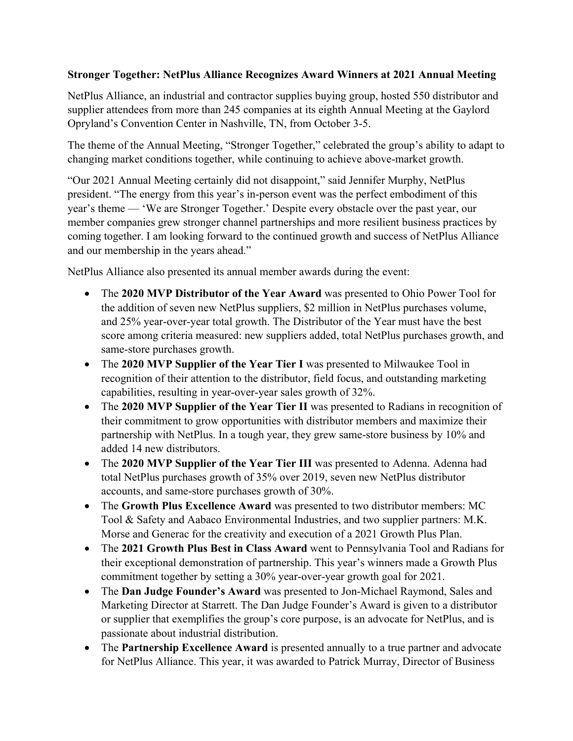## **Stronger Together: NetPlus Alliance Recognizes Award Winners at 2021 Annual Meeting**

NetPlus Alliance, an industrial and contractor supplies buying group, hosted 550 distributor and supplier attendees from more than 245 companies at its eighth Annual Meeting at the Gaylord Opryland's Convention Center in Nashville, TN, from October 3-5.

The theme of the Annual Meeting, "Stronger Together," celebrated the group's ability to adapt to changing market conditions together, while continuing to achieve above-market growth.

"Our 2021 Annual Meeting certainly did not disappoint," said Jennifer Murphy, NetPlus president. "The energy from this year's in-person event was the perfect embodiment of this year's theme — 'We are Stronger Together.' Despite every obstacle over the past year, our member companies grew stronger channel partnerships and more resilient business practices by coming together. I am looking forward to the continued growth and success of NetPlus Alliance and our membership in the years ahead."

NetPlus Alliance also presented its annual member awards during the event:

- The **2020 MVP Distributor of the Year Award** was presented to Ohio Power Tool for the addition of seven new NetPlus suppliers, \$2 million in NetPlus purchases volume, and 25% year-over-year total growth. The Distributor of the Year must have the best score among criteria measured: new suppliers added, total NetPlus purchases growth, and same-store purchases growth.
- The 2020 MVP Supplier of the Year Tier I was presented to Milwaukee Tool in recognition of their attention to the distributor, field focus, and outstanding marketing capabilities, resulting in year-over-year sales growth of 32%.
- The **2020 MVP Supplier of the Year Tier II** was presented to Radians in recognition of their commitment to grow opportunities with distributor members and maximize their partnership with NetPlus. In a tough year, they grew same-store business by 10% and added 14 new distributors.
- The **2020 MVP Supplier of the Year Tier III** was presented to Adenna. Adenna had total NetPlus purchases growth of 35% over 2019, seven new NetPlus distributor accounts, and same-store purchases growth of 30%.
- The **Growth Plus Excellence Award** was presented to two distributor members: MC Tool & Safety and Aabaco Environmental Industries, and two supplier partners: M.K. Morse and Generac for the creativity and execution of a 2021 Growth Plus Plan.
- The **2021 Growth Plus Best in Class Award** went to Pennsylvania Tool and Radians for their exceptional demonstration of partnership. This year's winners made a Growth Plus commitment together by setting a 30% year-over-year growth goal for 2021.
- The **Dan Judge Founder's Award** was presented to Jon-Michael Raymond, Sales and Marketing Director at Starrett. The Dan Judge Founder's Award is given to a distributor or supplier that exemplifies the group's core purpose, is an advocate for NetPlus, and is passionate about industrial distribution.
- The **Partnership Excellence Award** is presented annually to a true partner and advocate for NetPlus Alliance. This year, it was awarded to Patrick Murray, Director of Business